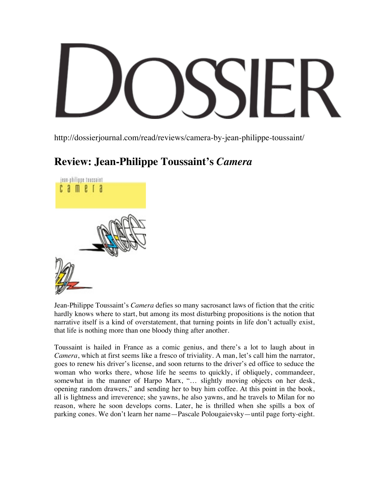http://dossierjournal.com/read/reviews/camera-by-jean-philippe-toussaint/

## **Review: Jean-Philippe Toussaint's** *Camera*



Jean-Philippe Toussaint's *Camera* defies so many sacrosanct laws of fiction that the critic hardly knows where to start, but among its most disturbing propositions is the notion that narrative itself is a kind of overstatement, that turning points in life don't actually exist, that life is nothing more than one bloody thing after another.

Toussaint is hailed in France as a comic genius, and there's a lot to laugh about in *Camera*, which at first seems like a fresco of triviality. A man, let's call him the narrator, goes to renew his driver's license, and soon returns to the driver's ed office to seduce the woman who works there, whose life he seems to quickly, if obliquely, commandeer, somewhat in the manner of Harpo Marx, "… slightly moving objects on her desk, opening random drawers," and sending her to buy him coffee. At this point in the book, all is lightness and irreverence; she yawns, he also yawns, and he travels to Milan for no reason, where he soon develops corns. Later, he is thrilled when she spills a box of parking cones. We don't learn her name—Pascale Polougaievsky—until page forty-eight.